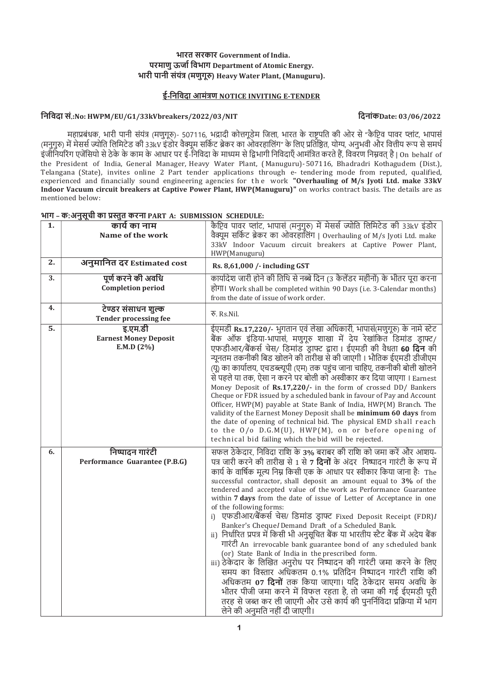### भारत सरकार Government of India. परमाण ऊर्जा विभाग Department of Atomic Energy. भारी पानी संयंत्र (मणगुरु) Heavy Water Plant, (Manuguru).

## <u>ई-निविदा आमंत्रण NOTICE INVITING E-TENDER</u>

#### निविदा सं.:No: HWPM/EU/G1/33kVbreakers/2022/03/NIT

# दिनांकDate: 03/06/2022

महाप्रबंधक, भारी पानी संयंत्र (मणुगूरु)- 507116, भद्रादी कोत्तगूडेम जिला, भारत के राष्ट्रपति की ओर से "कैप्टिव पावर प्लांट, भापासं (मनगरु) में मेसर्स ज्योति लिमिटेड की 33kV इंडोर वैक्यूम सर्किट ब्रेकर का ओवरहालिंग" के लिए प्रतिष्ठित, योग्य, अनुभवी और वित्तीय रूप से समर्थ इंजीनियरिंग एजेंसियो से ठेके के काम के आधार पर ई-निविदा के माध्यम से द्विभागी निविदाएँ आमंत्रित करते हैं, विवरण निम्नवत् है | On behalf of the President of India, General Manager, Heavy Water Plant, (Manuguru)-507116, Bhadradri Kothagudem (Dist.), Telangana (State), invites online 2 Part tender applications through e- tendering mode from reputed, qualified, experienced and financially sound engineering agencies for the work "Overhauling of M/s Jyoti Ltd. make 33kV Indoor Vacuum circuit breakers at Captive Power Plant. HWP(Manuguru)" on works contract basis. The details are as mentioned below:

| 1. | कार्य का नाम                                     | कैप्टिव पावर प्लांट, भापासं (मनुगुरु) में मेसर्स ज्योति लिमिटेड की 33kV इंडोर                                                                                                                                                                                                                                                                                                                                                                                                                                                                                                                                                                                                                                                                                                                                                                                                                                                                                                                                                            |
|----|--------------------------------------------------|------------------------------------------------------------------------------------------------------------------------------------------------------------------------------------------------------------------------------------------------------------------------------------------------------------------------------------------------------------------------------------------------------------------------------------------------------------------------------------------------------------------------------------------------------------------------------------------------------------------------------------------------------------------------------------------------------------------------------------------------------------------------------------------------------------------------------------------------------------------------------------------------------------------------------------------------------------------------------------------------------------------------------------------|
|    | Name of the work                                 | वैक्यूम सर्किट ब्रेकर का ओवरहालिंग   Overhauling of M/s Jyoti Ltd. make<br>33kV Indoor Vacuum circuit breakers at Captive Power Plant,                                                                                                                                                                                                                                                                                                                                                                                                                                                                                                                                                                                                                                                                                                                                                                                                                                                                                                   |
|    |                                                  | HWP(Manuguru)                                                                                                                                                                                                                                                                                                                                                                                                                                                                                                                                                                                                                                                                                                                                                                                                                                                                                                                                                                                                                            |
| 2. | अनुमानित दर Estimated cost                       | Rs. 8,61,000 /- including GST                                                                                                                                                                                                                                                                                                                                                                                                                                                                                                                                                                                                                                                                                                                                                                                                                                                                                                                                                                                                            |
| 3. | पूर्ण करने की अवधि                               | कार्यादेश जारी होने की तिथि से नब्बे दिन (3 कैलेंडर महीनों) के भीतर पूरा करना                                                                                                                                                                                                                                                                                                                                                                                                                                                                                                                                                                                                                                                                                                                                                                                                                                                                                                                                                            |
|    | <b>Completion period</b>                         | होगा। Work shall be completed within 90 Days (i.e. 3-Calendar months)                                                                                                                                                                                                                                                                                                                                                                                                                                                                                                                                                                                                                                                                                                                                                                                                                                                                                                                                                                    |
|    |                                                  | from the date of issue of work order.                                                                                                                                                                                                                                                                                                                                                                                                                                                                                                                                                                                                                                                                                                                                                                                                                                                                                                                                                                                                    |
| 4. | टेण्डर संसाधन शुल्क                              | रु. Rs.Nil.                                                                                                                                                                                                                                                                                                                                                                                                                                                                                                                                                                                                                                                                                                                                                                                                                                                                                                                                                                                                                              |
|    | <b>Tender processing fee</b>                     |                                                                                                                                                                                                                                                                                                                                                                                                                                                                                                                                                                                                                                                                                                                                                                                                                                                                                                                                                                                                                                          |
| 5. | इ.एम.डी                                          | ईएमडी Rs.17,220/- भुगतान एवं लेखा अधिकारी, भापासं(मणुगूरु) के नामे स्टेट                                                                                                                                                                                                                                                                                                                                                                                                                                                                                                                                                                                                                                                                                                                                                                                                                                                                                                                                                                 |
|    | <b>Earnest Money Deposit</b><br>E.M.D (2%)       | बैंक ऑफ इंडिया-भापासं, मणुगूरु शाखा में देय रेखांकित डिमांड ड्राफ्ट/<br>एफडीआर/बैंकर्स चेस/ डिमांड ड्राफ्ट द्वारा I ईएमडी की वैधता 60 दिन की<br>न्यूनतम तकनीकी बिड खोलने की तारीख से की जाएगी । भौतिक ईएमडी डीजीएम<br>(यू) का कार्यालय, एचडब्ल्यूपी (एम) तक पहुंच जाना चाहिए, तकनीकी बोली खोलने<br>से पहले या तक, ऐसा न करने पर बोली को अस्वीकार कर दिया जाएगा । Earnest<br>Money Deposit of Rs.17,220/- in the form of crossed DD/ Bankers<br>Cheque or FDR issued by a scheduled bank in favour of Pay and Account<br>Officer, HWP(M) payable at State Bank of India, HWP(M) Branch. The                                                                                                                                                                                                                                                                                                                                                                                                                                               |
|    |                                                  | validity of the Earnest Money Deposit shall be minimum 60 days from<br>the date of opening of technical bid. The physical EMD shall reach<br>to the $0/0$ D.G.M(U), HWP(M), on or before opening of                                                                                                                                                                                                                                                                                                                                                                                                                                                                                                                                                                                                                                                                                                                                                                                                                                      |
|    |                                                  | technical bid failing which the bid will be rejected.                                                                                                                                                                                                                                                                                                                                                                                                                                                                                                                                                                                                                                                                                                                                                                                                                                                                                                                                                                                    |
| 6. | निष्पादन गारंटी<br>Performance Guarantee (P.B.G) | सफल ठेकेदार, निविदा राशि के 3% बराबर की राशि को जमा करें और आशय-<br>पत्र जारी करने की तारीख से 1 से 7 <b>दिनों</b> के अंदर  निष्पादन गारंटी के रूप में                                                                                                                                                                                                                                                                                                                                                                                                                                                                                                                                                                                                                                                                                                                                                                                                                                                                                   |
|    |                                                  | कार्य के वार्षिक मूल्य निम्न किसी एक के आधार पर स्वीकार किया जाना है: The<br>successful contractor, shall deposit an amount equal to 3% of the<br>tendered and accepted value of the work as Performance Guarantee<br>within 7 days from the date of issue of Letter of Acceptance in one<br>of the following forms:<br>एफडीआर/बैंकर्स चेस/ डिमांड ड्राफ्ट Fixed Deposit Receipt (FDR)I<br>i)<br>Banker's Chequel Demand Draft of a Scheduled Bank.<br>ii) निर्धारित प्रपत्र में किसी भी अनुसूचित बैंक या भारतीय स्टैट बैंक में अदेय बैंक<br>गारंटी An irrevocable bank guarantee bond of any scheduled bank<br>(or) State Bank of India in the prescribed form.<br>iii) ठेकेदार के लिखित अनुरोध पर निष्पादन की गारंटी जमा करने के लिए<br>समय का विस्तार अधिकतम 0.1% प्रतिदिन निष्पादन गारंटी राशि की<br>अधिकतम 07 दिनों तक किया जाएगा। यदि ठेकेदार समय अवधि के<br>भीतर पीजी जमा करने में विफल रहता है, तो जमा की गई ईएमडी पूरी<br>तरह से जब्त कर ली जाएगी और उसे कार्य की पुनर्निविदा प्रक्रिया में भाग<br>लेने की अनमति नहीं दी जाएगी। |

भाग – क:अनसची का प्रस्तत करना PART A: SUBMISSION SCHEDULE: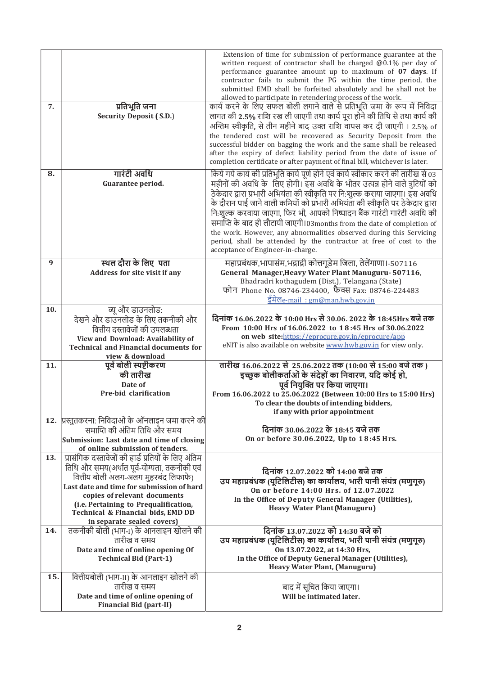|     |                                                                                                     | Extension of time for submission of performance guarantee at the                                                                              |
|-----|-----------------------------------------------------------------------------------------------------|-----------------------------------------------------------------------------------------------------------------------------------------------|
|     |                                                                                                     | written request of contractor shall be charged @0.1% per day of                                                                               |
|     |                                                                                                     | performance guarantee amount up to maximum of 07 days. If                                                                                     |
|     |                                                                                                     | contractor fails to submit the PG within the time period, the<br>submitted EMD shall be forfeited absolutely and he shall not be              |
|     |                                                                                                     | allowed to participate in retendering process of the work.                                                                                    |
| 7.  | प्रतिभूति जना                                                                                       | कार्य करने के लिए सफल बोली लगाने वाले से प्रतिभूति जमा के रूप में निविदा                                                                      |
|     | <b>Security Deposit (S.D.)</b>                                                                      | लागत की 2.5% राशि रख ली जाएगी तथा कार्य पूरा होने की तिथि से तथा कार्य की                                                                     |
|     |                                                                                                     | अन्तिम स्वीकृति, से तीन महीने बाद उक्त राशि वापस कर दी जाएगी । 2.5% of                                                                        |
|     |                                                                                                     | the tendered cost will be recovered as Security Deposit from the                                                                              |
|     |                                                                                                     | successful bidder on bagging the work and the same shall be released<br>after the expiry of defect liability period from the date of issue of |
|     |                                                                                                     | completion certificate or after payment of final bill, whichever is later.                                                                    |
| 8.  | गारंटी अवधि                                                                                         | किये गये कार्य की प्रतिभूति कार्य पूर्ण होने एवं कार्य स्वीकार करने की तारीख से 03                                                            |
|     | Guarantee period.                                                                                   | महीनों की अवधि के लिए होगी। इस अवधि के भीतर उत्पन्न होने वाले त्रुटियों को                                                                    |
|     |                                                                                                     | ठेकेदार द्वारा प्रभारी अभियंता की स्वीकृति पर नि:शुल्क कराया जाएगा। इस अवधि                                                                   |
|     |                                                                                                     | के दौरान पाई जाने वाली कमियों को प्रभारी अभियंता की स्वीकृति पर ठेकेदार द्वारा                                                                |
|     |                                                                                                     | नि:शुल्क करवाया जाएगा, फिर भी, आपको निष्पादन बैंक गारंटी गारंटी अवधि की                                                                       |
|     |                                                                                                     | समाप्ति के बाद ही लौटायी जाएगी।03months from the date of completion of                                                                        |
|     |                                                                                                     | the work. However, any abnormalities observed during this Servicing<br>period, shall be attended by the contractor at free of cost to the     |
|     |                                                                                                     | acceptance of Engineer-in-charge.                                                                                                             |
| 9   | स्थल दौरा के लिए पता                                                                                | महाप्रबंधक,भापासंम,भद्राद्री कोत्तगूडेम जिला, तेलेंगाणा।-507116                                                                               |
|     | Address for site visit if any                                                                       | General Manager, Heavy Water Plant Manuguru-507116,                                                                                           |
|     |                                                                                                     | Bhadradri kothagudem (Dist.), Telangana (State)                                                                                               |
|     |                                                                                                     | फोन Phone No. 08746-234400, फैक्स Fax: 08746-224483                                                                                           |
| 10. |                                                                                                     | $\frac{1}{5}$ Hole-mail: $gm@man.hwb.gov.in$                                                                                                  |
|     | व्यू और डाउनलोड:<br>देखने और डाउंनलोड के लिए तकनीकी और                                              | दिनांक 16.06.2022 के 10:00 Hrs से 30.06. 2022 के 18:45Hrs बजे तक                                                                              |
|     | वित्तीय दस्तावेजों की उपलब्धता                                                                      | From 10:00 Hrs of 16.06.2022 to 18:45 Hrs of 30.06.2022                                                                                       |
|     | View and Download: Availability of                                                                  | on web site: https://eprocure.gov.in/eprocure/app                                                                                             |
|     | <b>Technical and Financial documents for</b>                                                        | eNIT is also available on website www.hwb.gov.in for view only.                                                                               |
| 11. | view & download<br>पूर्व बोली स्पष्टीकरण                                                            |                                                                                                                                               |
|     | की तारीख                                                                                            | तारीख 16.06.2022 से 25.06.2022 तक (10:00 से 15:00 बजे तक )<br>इच्छुक बोलीकर्ताओं के संदेहों का निवारण, यदि कोई हो,                            |
|     | Date of                                                                                             | पूर्व नियुक्ति पर किया जाएगा।                                                                                                                 |
|     | Pre-bid clarification                                                                               | From 16.06.2022 to 25.06.2022 (Between 10:00 Hrs to 15:00 Hrs)                                                                                |
|     |                                                                                                     | To clear the doubts of intending bidders,                                                                                                     |
| 12. | प्रस्तुतकरना: निविदाओं के ऑनलाइन जमा करने की                                                        | if any with prior appointment                                                                                                                 |
|     | समाप्ति की अंतिम तिथि और समय                                                                        | दिनांक 30.06.2022 के 18:45 बजे तक                                                                                                             |
|     | Submission: Last date and time of closing                                                           | On or before 30.06.2022, Up to 18:45 Hrs.                                                                                                     |
|     | of online submission of tenders.                                                                    |                                                                                                                                               |
| 13. | प्रासंगिक दस्तावेजों की हार्ड प्रतियों के लिए अंतिम<br>तिथि और समय(अर्थात पूर्व-योग्यता, तकनीकी एवं |                                                                                                                                               |
|     | वित्तीय बोली अलग-अलग मुहरबंद लिफाफे)                                                                | दिनांक 12.07.2022 को 14:00 बजे तक                                                                                                             |
|     | Last date and time for submission of hard                                                           | उप महाप्रबंधक (यूटिलिटीस) का कार्यालय, भारी पानी संयंत्र (मणुगूरु)                                                                            |
|     | copies of relevant documents                                                                        | On or before 14:00 Hrs. of 12.07.2022<br>In the Office of Deputy General Manager (Utilities),                                                 |
|     | (i.e. Pertaining to Prequalification,                                                               | Heavy Water Plant (Manuguru)                                                                                                                  |
|     | Technical & Financial bids, EMD DD<br>in separate sealed covers)                                    |                                                                                                                                               |
| 14. | तकनीकी बोली (भाग-1) के आनलाइन खोलने की                                                              | दिनांक 13.07.2022 को 14:30 बजे को                                                                                                             |
|     | तारीख व समय                                                                                         | उप महाप्रबंधक (यूटिलिटीस) का कार्यालय, भारी पानी संयंत्र (मणुगूरु)                                                                            |
|     | Date and time of online opening Of                                                                  | On 13.07.2022, at 14:30 Hrs,                                                                                                                  |
|     | <b>Technical Bid (Part-1)</b>                                                                       | In the Office of Deputy General Manager (Utilities),                                                                                          |
| 15. | वित्तीयबोली (भाग-II) के आनलाइन खोलने की                                                             | Heavy Water Plant, (Manuguru)                                                                                                                 |
|     | तारीख व समय                                                                                         | बाद में सूचित किया जाएगा।                                                                                                                     |
|     | Date and time of online opening of                                                                  | Will be intimated later.                                                                                                                      |
|     | <b>Financial Bid (part-II)</b>                                                                      |                                                                                                                                               |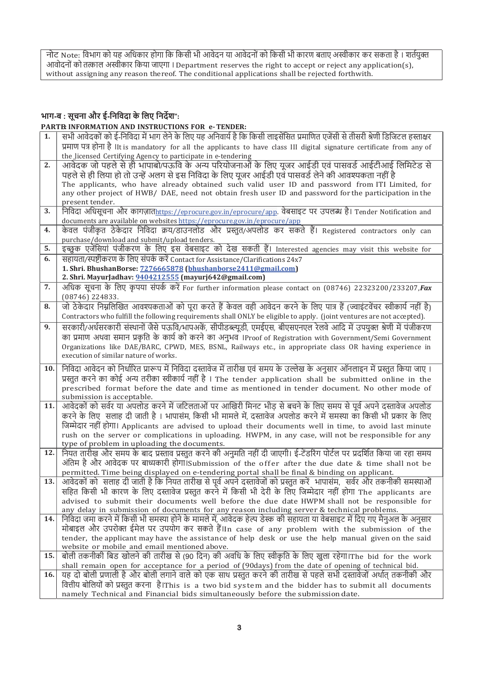नोट Note: विभाग को यह अधिकार होगा कि किसी भी आवेदन या आवेदनों को किसी भी कारण बताए अस्वीकार कर सकता है । शर्तयुक्त आवोदनों को तत्काल अस्वीकार किया जाएगा। Department reserves the right to accept or reject any application(s), without assigning any reason thereof. The conditional applications shall be rejected forthwith.

# भाग-ब : सूचना और ई-निविदा के लिए निर्देश":

### PARTE INFORMATION AND INSTRUCTIONS FOR e-TENDER:

| 1.  | सभी आवेदकों को ई-निविदा में भाग लेने के लिए यह अनिवार्य है कि किसी लाइसेंसित प्रमाणित एजेंसी से तीसरी श्रेणी डिजिटल हस्ताक्षर                       |
|-----|-----------------------------------------------------------------------------------------------------------------------------------------------------|
|     | प्रमाण पत्र होना है IIt is mandatory for all the applicants to have class III digital signature certificate from any of                             |
|     | the licensed Certifying Agency to participate in e-tendering                                                                                        |
| 2.  | आवेदक जो पहले से ही भापाबो/पऊवि के अन्य परियोजनाओं के लिए यूजर आईडी एवं पासवर्ड आईटीआई लिमिटेड से                                                   |
|     | पहले से ही लिया हो तो उन्हें अलग से इस निविदा के लिए यूजर आईडी एवं पासवर्ड लेने की आवश्यकता नहीं है                                                 |
|     | The applicants, who have already obtained such valid user ID and password from ITI Limited, for                                                     |
|     | any other project of HWB/ DAE, need not obtain fresh user ID and password for the participation in the<br>present tender.                           |
| 3.  | निविदा अधिसूचना और कागज़ात <u>https://eprocure.gov.in/eprocure/app</u> . वेबसाइट पर उपलब्ध है। Tender Notification and                              |
|     | documents are available on websites https://eprocure.gov.in/eprocure/app                                                                            |
| 4.  | केवल पंजीकृत ठेकेदार निविदा क्रय/डाउनलोड और प्रस्तुत/अपलोड कर सकते हैं। Registered contractors only can                                             |
|     | purchase/download and submit/upload tenders.                                                                                                        |
| 5.  | इच्छुक एजेंसियां पंजीकरण के लिए इस वेबसाइट को देख सकती हैं। Interested agencies may visit this website for                                          |
| 6.  | सहायता/स्पष्टीकरण के लिए संपर्क करें Contact for Assistance/Clarifications 24x7                                                                     |
|     | 1. Shri. BhushanBorse: 7276665878 (bhushanborse2411@gmail.com)                                                                                      |
|     | 2. Shri. MayurJadhav: 9404212555 (mayurj642@gmail.com)                                                                                              |
| 7.  | अधिक सूचना के लिए कृपया संपर्क करें For further information please contact on (08746) 22323200/233207, Fax                                          |
|     | $(08746)$ 224833.                                                                                                                                   |
| 8.  | जो ठेकेदार निम्नलिखित आवश्यकताओं को पूरा करते हैं केवल वही आवेदन करने के लिए पात्र हैं (ज्वाइंटवेंचर स्वीकार्य नहीं है)                             |
|     | Contractors who fulfill the following requirements shall ONLY be eligible to apply. (joint ventures are not accepted).                              |
| 9.  | सरकारी/अर्धसरकारी संस्थानों जैसे पऊवि/भापअकें, सीपीडब्ल्यूडी, एमईएस, बीएसएनएल रेलवे आदि में उपयुक्त श्रेणी में पंजीकरण                              |
|     | का प्रमाण अथवा समान प्रकृति के कार्य को करने का अनुभव  Proof of Registration with Government/Semi Government                                        |
|     | Organizations like DAE/BARC, CPWD, MES, BSNL, Railways etc., in appropriate class OR having experience in                                           |
|     | execution of similar nature of works.                                                                                                               |
| 10. | निविदा आवेदन को निर्धारित प्रारूप में निविदा दस्तावेज में तारीख एवं समय के उल्लेख के अनुसार ऑनलाइन में प्रस्तुत किया जाए।                           |
|     | प्रस्तुत करने का कोई अन्य तरीका स्वीकार्य नहीं है । The tender application shall be submitted online in the                                         |
|     | prescribed format before the date and time as mentioned in tender document. No other mode of                                                        |
| 11. | submission is acceptable.<br>आवेदकों को सर्वर या अपलोड करने में जटिलताओं पर आखिरी मिनट भीड़ से बचने के लिए समय से पूर्व अपने दस्तावेज अपलोड         |
|     | करने के लिए सलाह दी जाती है । भापासंम, किसी भी मामले में, दस्तावेज अपलोड करने में समस्या का किसी भी प्रकार के लिए                                   |
|     | जिम्मेदार नहीं होगा। Applicants are advised to upload their documents well in time, to avoid last minute                                            |
|     | rush on the server or complications in uploading. HWPM, in any case, will not be responsible for any                                                |
|     | type of problem in uploading the documents.                                                                                                         |
| 12. | नियत तारीख और समय के बाद प्रस्ताव प्रस्तुत करने की अनुमति नहीं दी जाएगी। ई-टेंडरिंग पोर्टल पर प्रदर्शित किया जा रहा समय                             |
|     | अंतिम है और आवेदक पर बाध्यकारी होगा। Submission of the offer after the due date & time shall not be                                                 |
|     | permitted. Time being displayed on e-tendering portal shall be final & binding on applicant.                                                        |
| 13. | आवेदकों को सलाह दी जाती है कि नियत तारीख से पूर्व अपने दस्तावेजों को प्रस्तुत करें भापासंम, सर्वर और तकनीकी समस्याओं                                |
|     | सहित किसी भी कारण के लिए दस्तावेज प्रस्तुत करने में किसी भी देरी के लिए जिम्मेदार नहीं होगा The applicants are                                      |
|     | advised to submit their documents well before the due date HWPM shall not be responsible for                                                        |
|     | any delay in submission of documents for any reason including server & technical problems.                                                          |
| 14. | निविदा जमा करने में किसी भी समस्या होने के मामले में, आवेदक हेल्प डेस्क की सहायता या वेबसाइट में दिए गए मैनुअल के अनुसार                            |
|     | मोबाइल और उपरोक्त ईमेल पर उपयोग कर सकते हैं। In case of any problem with the submission of the                                                      |
|     | tender, the applicant may have the assistance of help desk or use the help manual given on the said<br>website or mobile and email mentioned above. |
| 15. | बोली तकनीकी बिड खोलने की तारीख से (90 दिन) की अवधि के लिए स्वीकृति के लिए खुला रहेगा।The bid for the work                                           |
|     | shall remain open for acceptance for a period of (90days) from the date of opening of technical bid.                                                |
| 16. | यह दो बोली प्रणाली है और बोली लगाने वाले को एक साथ प्रस्तुत करने की तारीख से पहले सभी दस्तावेजों अर्थात् तकनीकी और                                  |
|     | वित्तीय बोलियों को प्रस्तुत करना है।This is a two bid system and the bidder has to submit all documents                                             |
|     | namely Technical and Financial bids simultaneously before the submission date.                                                                      |
|     |                                                                                                                                                     |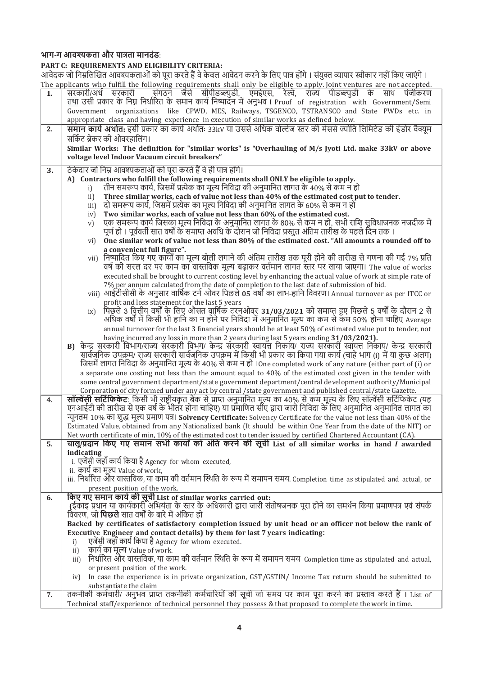# भाग-ग आवश्यकता और पात्रता मानदंड:

PART C: REQUIREMENTS AND ELIGIBILITY CRITERIA:<br>आवेदक जो निम्नलिखित आवश्यकताओं को पूरा करते हैं वे केवल आवेदन करने के लिए पात्र होंगे । संयुक्त व्यापार स्वीकार नहीं किए जाएंगे ।

|    | The applicants who fulfill the following requirements shall only be eligible to apply. Joint ventures are not accepted.                                                                                                 |
|----|-------------------------------------------------------------------------------------------------------------------------------------------------------------------------------------------------------------------------|
| 1. | संगठन जैसे सीपीडब्ल्युडी, एमईएस, रेल्वे, राज्य पीडब्ल्युडी<br>सरकारी/अर्ध सरकारी<br>के<br>साथ<br>पंजीकरण                                                                                                                |
|    | तथा उसी प्रकार के निम्न निर्धारित के समान कार्य निष्पादन में अनुभव I Proof of registration with Government/Semi                                                                                                         |
|    | Government organizations like CPWD, MES, Railways, TSGENCO, TSTRANSCO and State PWDs etc. in                                                                                                                            |
|    | appropriate class and having experience in execution of similar works as defined below.                                                                                                                                 |
| 2. | <b>समान कार्य अर्थात:</b> इसी प्रकार का कार्य अर्थात: 33kV या उससे अधिक वोल्टेज स्तर की मेसर्स ज्योति लिमिटेड की इंडोर वैक्यूम                                                                                          |
|    | सर्किट ब्रेकर की ओवरहालिंग।                                                                                                                                                                                             |
|    | Similar Works: The definition for "similar works" is "Overhauling of M/s Jyoti Ltd. make 33kV or above                                                                                                                  |
|    | voltage level Indoor Vacuum circuit breakers"                                                                                                                                                                           |
|    |                                                                                                                                                                                                                         |
| 3. | ठेकेदार जो निम्न आवश्यकताओं को पूरा करते हैं वे ही पात्र होंगे।                                                                                                                                                         |
|    | A) Contractors who fulfill the following requirements shall ONLY be eligible to apply.                                                                                                                                  |
|    | तीन समरूप कार्य, जिसमें प्रत्येक का मूल्य निविदा की अनुमानित लागत के 40% से कम न हो<br>i)                                                                                                                               |
|    | Three similar works, each of value not less than 40% of the estimated cost put to tender.<br>ii)                                                                                                                        |
|    | दो समरूप कार्य, जिसमें प्रत्येक का मूल्य निविदा की अनुमानित लागत के 60% से कम न हो<br>iii)                                                                                                                              |
|    | Two similar works, each of value not less than 60% of the estimated cost.<br>iv)                                                                                                                                        |
|    | एक समरूप कार्य जिसका मूल्य निविदा के अनुमानित लागत के 80% से कम न हो, सभी राशि सुविधाजनक नजदीक में<br>V                                                                                                                 |
|    | पूर्ण हो । पूर्ववर्ती सात वर्षों के समाप्त अवधि के दौरान जो निविदा प्रस्तुत अंतिम तारीख के पहले दिन तक ।                                                                                                                |
|    | One similar work of value not less than 80% of the estimated cost. "All amounts a rounded off to<br>vi)                                                                                                                 |
|    | a convenient full figure".<br>निष्पादित किए गए कार्यों का मूल्य बोली लगाने की अंतिम तारीख तक पूरी होने की तारीख से गणना की गई 7% प्रति                                                                                  |
|    | vii)<br>वर्ष की सरल दर पर काम का वास्तविक मूल्य बढ़ाकर वर्तमान लागत स्तर पर लाया जाएगा। The value of works                                                                                                              |
|    |                                                                                                                                                                                                                         |
|    | executed shall be brought to current costing level by enhancing the actual value of work at simple rate of                                                                                                              |
|    | 7% per annum calculated from the date of completion to the last date of submission of bid.                                                                                                                              |
|    | viii) आईटीसीसी के अनुसार वार्षिक टर्न ओवर पिछले 05 वर्षों का लाभ-हानि विवरण। Annual turnover as per ITCC or                                                                                                             |
|    | profit and loss statement for the last 5 years                                                                                                                                                                          |
|    | पिछले 3 वित्तीय वर्षों के लिए औसत वार्षिक टरनओवर 31/03/2021 को समाप्त हुए पिछले 5 वर्षों के दौरान 2 से<br>ix)<br>अधिक वर्षों में किसी भी हानि का न होने पर निविदा में अनुमानित मूल्य का कम से कम 50% होना चाहिए Average |
|    |                                                                                                                                                                                                                         |
|    | annual turnover for the last 3 financial years should be at least 50% of estimated value put to tender, not                                                                                                             |
|    | having incurred any loss in more than 2 years during last 5 years ending 31/03/2021).<br>केन्द्र सरकारी विभाग/राज्य सरकारी विभग/ केन्द्र सरकारी स्वायत्त निकाय/ राज्य सरकारी स्वायत्त निकाय/ केन्द्र सरकारी             |
|    | B)<br>सार्वजनिक उपक्रम/ राज्य सरकारी सार्वजनिक उपक्रम में किसी भी प्रकार का किया गया कार्य (चाहे भाग (i) में या कुछ अलग)                                                                                                |
|    | जिसमें लागत निविदा के अनुमानित मूल्य के 40% से कम न हो IOne completed work of any nature (either part of (i) or                                                                                                         |
|    | a separate one costing not less than the amount equal to 40% of the estimated cost given in the tender with                                                                                                             |
|    | some central government department/state government department/central development authority/Municipal                                                                                                                  |
|    | Corporation of city formed under any act by central /state government and published central/state Gazette.                                                                                                              |
|    | <b>सॉल्वेंसी सर्टिफिकेट</b> : किसी भी राष्ट्रीयकृत बैंक से प्राप्त अनुमानित मूल्य का 40% से कम मूल्य के लिए सॉल्वेंसी सर्टिफिकेट (यह                                                                                    |
| 4. | एनआईटी की तारीख से एक वर्ष के भीतर होना चाहिए) या प्रॅमाणित सीए द्वारा जारी निविदा के लिए अनुमानित अनुमानित लागत का                                                                                                     |
|    | न्यूनतम 10% का शुद्ध मूल्य प्रमाण पत्र। Solvency Certificate: Solvency Certificate for the value not less than 40% of the                                                                                               |
|    | Estimated Value, obtained from any Nationalized bank (It should be within One Year from the date of the NIT) or                                                                                                         |
|    | Net worth certificate of min, 10% of the estimated cost to tender issued by certified Chartered Accountant (CA).                                                                                                        |
| 5. | चालू/प्रदान किए गए समान सभी कार्यों को अंति करने की सूची List of all similar works in hand I awarded                                                                                                                    |
|    | indicating                                                                                                                                                                                                              |
|    | i. एजेंसी जहाँ कार्य किया है Agency for whom executed,                                                                                                                                                                  |
|    | ii. कार्य का मूल्य Value of work,                                                                                                                                                                                       |
|    | iii. निर्धारित और वास्तविक, या काम की वर्तमान स्थिति के रूप में समापन समय. Completion time as stipulated and actual, or                                                                                                 |
|    | present position of the work.                                                                                                                                                                                           |
| 6. | किए गए समान कार्य की सूची List of similar works carried out:                                                                                                                                                            |
|    | (ईकाइ प्रधान या कार्यकारी अभियंता के स्तर के अधिकारी द्वारा जारी संतोषजनक पूरा होने का समर्थन किया प्रमाणपत्र एवं संपर्क                                                                                                |
|    | विवरण, जो <b>पिछले</b> सात वर्षों के बारे में अंकित हो                                                                                                                                                                  |
|    | Backed by certificates of satisfactory completion issued by unit head or an officer not below the rank of                                                                                                               |
|    | Executive Engineer and contact details) by them for last 7 years indicating:                                                                                                                                            |
|    | एजेंसी जहाँ कार्य किया है Agency for whom executed.<br>i)                                                                                                                                                               |
|    | कार्य का मूल्य Value of work.<br>ii)                                                                                                                                                                                    |
|    | निर्धारित और वास्तविक, या काम की वर्तमान स्थिति के रूप में समापन समय Completion time as stipulated and actual,<br>iii)                                                                                                  |
|    | or present position of the work.                                                                                                                                                                                        |
|    | In case the experience is in private organization, GST/GSTIN/ Income Tax return should be submitted to<br>iv)                                                                                                           |
|    | substantiate the claim                                                                                                                                                                                                  |
|    |                                                                                                                                                                                                                         |
| 7. | तकनीकी कर्मचारी/ अनुभव प्राप्त तकनीकी कर्मचारियों की सूची जो समय पर काम पूरा करने का प्रस्ताव करते हैं । List of                                                                                                        |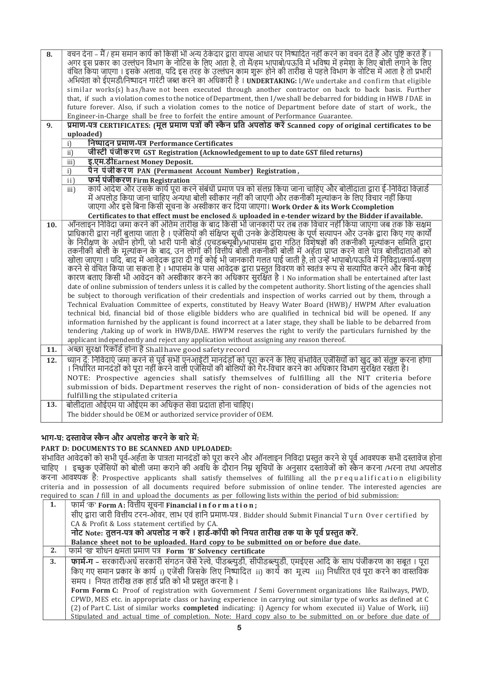| $\overline{8}$ . |                                                                                                                                                                                                                                                                                                                                                                                               |
|------------------|-----------------------------------------------------------------------------------------------------------------------------------------------------------------------------------------------------------------------------------------------------------------------------------------------------------------------------------------------------------------------------------------------|
|                  | वचन देना - मैं / हम समान कार्य को किसी भी अन्य ठेकेदार द्वारा वापस आधार पर निष्पादित नहीं करने का वचन देते हैं और पृष्टि करते हैं ।<br>अगर इस प्रकार का उल्लंघन विभाग के नोटिस के लिए आता है, तो मैं/हम भापाबो/पऊवि में भविष्य में हमेशा के लिए बोली लगाने के लिए<br>वंचित किया जाएगा । इसके अलावा, यदि इस तरह के उल्लंघन काम शुरू होने की तारीख से पहले विभाग के नोटिस में आता है तो प्रभारी |
|                  | अभियंता को ईएमडी/निष्पादन गारंटी जब्त करने का अधिकारी है। UNDERTAKING: I/We undertake and confirm that eligible                                                                                                                                                                                                                                                                               |
|                  | similar works(s) has/have not been executed through another contractor on back to back basis. Further                                                                                                                                                                                                                                                                                         |
|                  | that, if such a violation comes to the notice of Department, then I/we shall be debarred for bidding in HWB IDAE in                                                                                                                                                                                                                                                                           |
|                  | future forever. Also, if such a violation comes to the notice of Department before date of start of work., the                                                                                                                                                                                                                                                                                |
|                  | Engineer-in-Charge shall be free to forfeit the entire amount of Performance Guarantee.                                                                                                                                                                                                                                                                                                       |
| 9.               | प्रमाण-पत्र CERTIFICATES: (मूल प्रमाण पत्रों की स्कैन प्रति अपलोड करें Scanned copy of original certificates to be                                                                                                                                                                                                                                                                            |
|                  | uploaded)                                                                                                                                                                                                                                                                                                                                                                                     |
|                  | निष्पादन प्रमाण-पत्र Performance Certificates<br>i)                                                                                                                                                                                                                                                                                                                                           |
|                  | जीस्टी पंजीकरण GST Registration (Acknowledgement to up to date GST filed returns)<br>ii)                                                                                                                                                                                                                                                                                                      |
|                  | इ.एम.डीEarnest Money Deposit.<br>iii)                                                                                                                                                                                                                                                                                                                                                         |
|                  | पैन पंजीकरण PAN (Permanent Account Number) Registration,<br>i)                                                                                                                                                                                                                                                                                                                                |
|                  | फर्म पंजीकरण Firm Registration<br>$\mathbf{ii}$                                                                                                                                                                                                                                                                                                                                               |
|                  | कार्य आदेश और उसके कार्य पूरा करने संबंधी प्रमाण पत्र को संलग्न किया जाना चाहिए और बोलीदाता द्वारा ई-निविदा विज़ार्ड<br>iii)                                                                                                                                                                                                                                                                  |
|                  | में अपलोड किया जाना चाहिए अन्यथा बोली स्वीकार नहीं की जाएगी और तकनीकी मूल्यांकन के लिए विचार नहीं किया                                                                                                                                                                                                                                                                                        |
|                  | जाएगा और इसे बिना किसी सूचना के अस्वीकार कर दिया जाएगा। Work Order & its Work Ccompletion                                                                                                                                                                                                                                                                                                     |
|                  | Certificates to that effect must be enclosed & uploaded in e-tender wizard by the Bidder if available.                                                                                                                                                                                                                                                                                        |
| 10.              | ऑनलाइन निविदा जमा करने की अंतिम तारीख के बाद किसी भी जानकारी पर तब तक विचार नहीं किया जाएगा जब तक कि सक्षम                                                                                                                                                                                                                                                                                    |
|                  | प्राधिकारी द्वारा नहीं बुलाया जाता है । एजेंसियों की संक्षिप्त सूची उनके क्रेडेंशियल्स के पूर्ण सत्यापन और उनके द्वारा किए गए कार्यों                                                                                                                                                                                                                                                         |
|                  |                                                                                                                                                                                                                                                                                                                                                                                               |
|                  | के निरीक्षण के अधीन होगी, जो भारी पानी बोर्ड (एचडब्ल्यूबी)/भापासंम द्वारा गठित विशेषज्ञों की तकनीकी मूल्यांकन समिति द्वारा                                                                                                                                                                                                                                                                    |
|                  | तकनीकी बोली के मूल्यांकन के बाद, उन लोगों की वित्तीय बोली तकनीकी बोली में अर्हता प्राप्त करने वाले पात्र बोलीदाताओं को                                                                                                                                                                                                                                                                        |
|                  | खोला जाएगा । यदि, बाद में आवेदक द्वारा दी गई कोई भी जानकारी गलत पाई जाती है, तो उन्हें भापाबो/पऊवि में निविदा/कार्य-ग्रहण                                                                                                                                                                                                                                                                     |
|                  | करने से वंचित किया जा सकता है । भापासंम के पास आवेदक द्वारा प्रस्तुत विवरण को स्वतंत्र रूप से सत्यापित करने और बिना कोई                                                                                                                                                                                                                                                                       |
|                  | कारण बताए किसी भी आवेदन को अस्वीकार करने का अधिकार सुरक्षित है । No information shall be entertained after last                                                                                                                                                                                                                                                                               |
|                  | date of online submission of tenders unless it is called by the competent authority. Short listing of the agencies shall                                                                                                                                                                                                                                                                      |
|                  | be subject to thorough verification of their credentials and inspection of works carried out by them, through a                                                                                                                                                                                                                                                                               |
|                  | Technical Evaluation Committee of experts, constituted by Heavy Water Board (HWB)/ HWPM After evaluation                                                                                                                                                                                                                                                                                      |
|                  | technical bid, financial bid of those eligible bidders who are qualified in technical bid will be opened. If any                                                                                                                                                                                                                                                                              |
|                  | information furnished by the applicant is found incorrect at a later stage, they shall be liable to be debarred from                                                                                                                                                                                                                                                                          |
|                  | tendering /taking up of work in HWB/DAE. HWPM reserves the right to verify the particulars furnished by the                                                                                                                                                                                                                                                                                   |
|                  | applicant independently and reject any application without assigning any reason thereof.                                                                                                                                                                                                                                                                                                      |
| 11.              | अच्छा सुरक्षा रिकॉर्ड होना है Shall have good safety record                                                                                                                                                                                                                                                                                                                                   |
| 12.              | ध्यान दें: निविदाएं जमा करने से पूर्व सभी एनआईटी मानदंडों को पूरा करने के लिए संभावित एजेंसियों को खुद को संतुष्ट करना होगा                                                                                                                                                                                                                                                                   |
|                  | । निर्धारित मानदंडों को पूरा नहीं करने वाली एजेंसियों की बोलियों को गैर-विचार करने का अधिकार विभाग सुरक्षित रखता है।                                                                                                                                                                                                                                                                          |
|                  | NOTE: Prospective agencies shall satisfy themselves of fulfilling all the NIT criteria before                                                                                                                                                                                                                                                                                                 |
|                  | submission of bids. Department reserves the right of non-consideration of bids of the agencies not                                                                                                                                                                                                                                                                                            |
|                  | fulfilling the stipulated criteria                                                                                                                                                                                                                                                                                                                                                            |
| 13.              | बोलीदाता ओईएम या ओईएम का अधिकृत सेवा प्रदाता होना चाहिए।<br>The bidder should be OEM or authorized service provider of OEM.                                                                                                                                                                                                                                                                   |

# भाग-घ: दस्तावेज स्कैन और अपलोड करने के बारे में:

# PART D: DOCUMENTS TO BE SCANNED AND UPLOADED:

सभावित आवेदको को सभी पूर्व-अहैता के पात्रता मानदर्डो को पूरा करने और ऑनलाइन निर्विदा प्रस्तुत करने से पूर्व आवश्यक सभी दस्तावेज होना चाहिए । इच्छुक एजेंसियों को बोली जमा कराने की अवधि के दौरान निम्न सूचियों के अनुसार दस्तावेजों को स्कैन करना /भरना तथा अपलोड करना आवश्यक है: Prospective applicants shall satisfy themselves of fulfilling all the prequalification eligibility criteria and in possession of all documents required before submission of online tender. The interested agencies are required to scan *I* fill in and upload the documents as per following lists within the period of bid submission:

| 1. | फार्म 'क' Form A: वित्तीय सूचना Financial information;                                                                     |  |
|----|----------------------------------------------------------------------------------------------------------------------------|--|
|    | सीए द्वारा जारी वित्तीय टरन-ओवर, लाभ एवं हानि प्रमाण-पत्र . Bidder should Submit Financial Turn Over certified by          |  |
|    | CA & Profit & Loss statement certified by CA.                                                                              |  |
|    | नोट Note: तुलन-पत्र को अपलोड न करें । हार्ड-कॉपी को नियत तारीख तक या के पूर्व प्रस्तुत करें.                               |  |
|    | Balance sheet not to be uploaded. Hard copy to be submitted on or before due date.                                         |  |
| 2. | फार्म 'ख' शोधन क्षमता प्रमाण पत्र Form 'B' Solvency certificate                                                            |  |
| 3. | <b>फार्म-ग -</b> सरकारी/अर्ध सरकारी संगठन जैसे रेल्वे, पीडब्ल्युडी, सीपीडब्ल्युडी, एमईएस आदि के साथ पंजीकरण का सबूत । पूरा |  |
|    | किए गए समान प्रकार के कार्य i) एजेंसी जिसके लिए निष्पादित ii) कार्य का मूल्य iii) निर्धारित एवं पूरा करने का वास्तविक      |  |
|    | समय । नियत तारीख तक हार्ड प्रति को भी प्रस्तुत करना है ।                                                                   |  |
|    | Form Form C: Proof of registration with Government I Semi Government organizations like Railways, PWD,                     |  |
|    | CPWD, MES etc. in appropriate class or having experience in carrying out similar type of works as defined at C             |  |
|    | (2) of Part C. List of similar works <b>completed</b> indicating: i) Agency for whom executed ii) Value of Work, iii)      |  |
|    | Stipulated and actual time of completion. Note: Hard copy also to be submitted on or before due date of                    |  |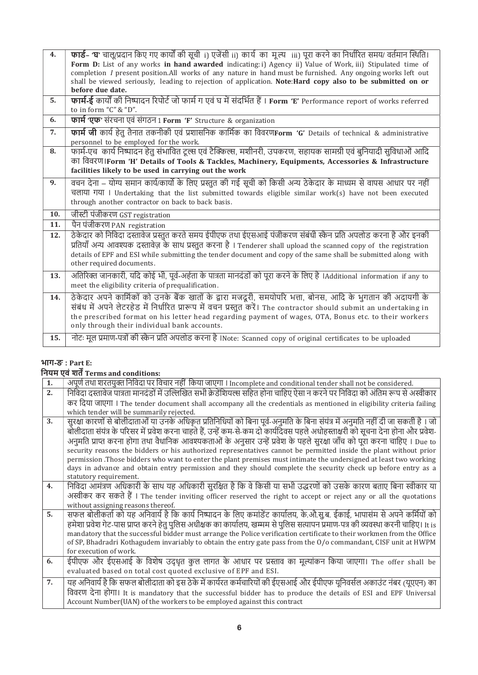| 4.  | <b>फार्ड- 'घ'</b> चालू/प्रदान किए गए कार्यों की सूची i) एजेंसी ii) कार्य का मूल्य iii) पूरा करने का निर्धारित समय/ वर्तमान स्थिति।<br>Form D: List of any works in hand awarded indicating: i) Agency ii) Value of Work, iii) Stipulated time of<br>completion <i>I</i> present position.All works of any nature in hand must be furnished. Any ongoing works left out<br>shall be viewed seriously, leading to rejection of application. Note:Hard copy also to be submitted on or |
|-----|-------------------------------------------------------------------------------------------------------------------------------------------------------------------------------------------------------------------------------------------------------------------------------------------------------------------------------------------------------------------------------------------------------------------------------------------------------------------------------------|
|     | before due date.                                                                                                                                                                                                                                                                                                                                                                                                                                                                    |
| 5.  | फार्म-ई कार्यों की निष्पादन रिपोर्ट जो फार्म ग एवं घ में संदर्भित हैं । Form 'E' Performance report of works referred<br>to in form "C" & "D".                                                                                                                                                                                                                                                                                                                                      |
| 6.  | फार्म 'एफ' संरचना एवं संगठन 1 Form 'F' Structure & organization                                                                                                                                                                                                                                                                                                                                                                                                                     |
| 7.  | फार्म जी कार्य हेतु तैनात तकनीकी एवं प्रशासनिक कार्मिक का विवरणForm 'G' Details of technical & administrative<br>personnel to be employed for the work.                                                                                                                                                                                                                                                                                                                             |
| 8.  | .<br>फार्म-एच  कार्य निष्पादन हेतु संभावित ट्रल्स एवं टैक्किल्स, मशीनरी, उपकरण, सहायक सामग्री एवं बुनियादी सुविधाओं आदि<br>का विवरण।Form 'H' Details of Tools & Tackles, Machinery, Equipments, Accessories & Infrastructure<br>facilities likely to be used in carrying out the work                                                                                                                                                                                               |
| 9.  | वचन देना – योग्य समान कार्य/कार्यो के लिए प्रस्तुत की गई सूची को किसी अन्य ठेकेदार के माध्यम से वापस आधार पर नहीं<br>चलाया गया । Undertaking that the list submitted towards eligible similar work(s) have not been executed<br>through another contractor on back to back basis.                                                                                                                                                                                                   |
| 10. | जीस्टी पंजीकरण GST registration                                                                                                                                                                                                                                                                                                                                                                                                                                                     |
| 11. | पैन पंजीकरण PAN registration                                                                                                                                                                                                                                                                                                                                                                                                                                                        |
| 12. | ठेकेदार को निविदा दस्तावेज प्रस्तुत करते समय ईपीएफ तथा ईएसआई पंजीकरण संबंधी स्कैन प्रति अपलोड करना है और इनकी<br>प्रतियाँ अन्य आवश्यक दस्तावेज़ के साथ प्रस्तुत करना है । Tenderer shall upload the scanned copy of the registration<br>details of EPF and ESI while submitting the tender document and copy of the same shall be submitted along with<br>other required documents.                                                                                                 |
| 13. | अतिरिक्त जानकारी, यदि कोई भी, पूर्व-अर्हता के पात्रता मानदंडों को पूरा करने के लिए है IAdditional information if any to<br>meet the eligibility criteria of prequalification.                                                                                                                                                                                                                                                                                                       |
| 14. | ठेकेदार अपने कार्मिकों को उनके बैंक खातों के द्वारा मजदूरी, समयोपरि भत्ता, बोनस, आदि के भुगतान की अदायगी के<br>संबंध में अपने लेटरहेड में निर्धारित प्रारूप में वचन प्रस्तुत करें। The contractor should submit an undertaking in<br>the prescribed format on his letter head regarding payment of wages, OTA, Bonus etc. to their workers<br>only through their individual bank accounts.                                                                                          |
| 15. | नोटः मूल प्रमाण-पत्रों की स्कैन प्रति अपलोड करना है  Note: Scanned copy of original certificates to be uploaded                                                                                                                                                                                                                                                                                                                                                                     |

# भाग-ङ : Part E:<br>नियम एवं शर्तें Terms and conditions:

| 1. | अपूर्ण तथा शरतयुक्त निविदा पर विचार नहीं किया जाएगा । Incomplete and conditional tender shall not be considered.                   |
|----|------------------------------------------------------------------------------------------------------------------------------------|
| 2. | निविदा दस्तावेज पात्रता मानदंडों में उल्लिखित सभी क्रेडेंशियल्स सहित होना चाहिए ऐसा न करने पर निविदा को अंतिम रूप से अस्वीकार      |
|    | कर दिया जाएगा । The tender document shall accompany all the credentials as mentioned in eligibility criteria failing               |
|    | which tender will be summarily rejected.                                                                                           |
| 3. | सुरक्षा कारणों से बोलीदाताओं या उनके अधिकृत प्रतिनिधियों को बिना पूर्व-अनुमति के बिना संयंत्र में अनुमति नहीं दी जा सकती है । जो   |
|    | बोलीदाता संयंत्र के परिसर में प्रवेश करना चाहते हैं, उन्हें कम-से-कम दो कार्यदिवस पहले अधोहस्ताक्षरी को सूचना देना होना और प्रवेश- |
|    | अनुमति प्राप्त करना होगा तथा वैधानिक आवश्यकताओं के अनुसार उन्हें प्रवेश के पहले सुरक्षा जाँच को पूरा करना चाहिए । Due to           |
|    | security reasons the bidders or his authorized representatives cannot be permitted inside the plant without prior                  |
|    | permission .Those bidders who want to enter the plant premises must intimate the undersigned at least two working                  |
|    | days in advance and obtain entry permission and they should complete the security check up before entry as a                       |
|    | statutory requirement.                                                                                                             |
| 4. | निविदा आमंत्रण अधिकारी के साथ यह अधिकारी सुरक्षित है कि वे किसी या सभी उद्धरणों को उसके कारण बताए बिना स्वीकार या                  |
|    | अस्वीकर कर सकते हैं । The tender inviting officer reserved the right to accept or reject any or all the quotations                 |
|    | without assigning reasons thereof.                                                                                                 |
| 5. | सफल बोलीकर्ता को यह अनिवार्य है कि कार्य निष्पादन के लिए कमांडेंट कार्यालय, के.औ.सु.ब. ईकाई, भापासंम से अपने कर्मियों को           |
|    | हमेशा प्रवेश गेट-पास प्राप्त करने हेतु पुलिस अधीक्षक का कार्यालय, खम्मम से पुलिस सत्यापन प्रमाण-पत्र की व्यवस्था करनी चाहिए। It is |
|    | mandatory that the successful bidder must arrange the Police verification certificate to their workmen from the Office             |
|    | of SP, Bhadradri Kothagudem invariably to obtain the entry gate pass from the O/o commandant, CISF unit at HWPM                    |
|    | for execution of work.                                                                                                             |
| 6. | ईपीएफ और ईएसआई के विशेष उद्धृत कुल लागत के आधार पर प्रस्ताव का मूल्यांकन किया जाएगा। The offer shall be                            |
|    | evaluated based on total cost quoted exclusive of EPF and ESI.                                                                     |
| 7. | यह अनिवार्य है कि सफल बोलीदाता को इस ठेके में कार्यरत कर्मचारियों की ईएसआई और ईपीएफ यूनिवर्सल अकाउंट नंबर (यूएएन) का               |
|    | विवरण देना होगा। It is mandatory that the successful bidder has to produce the details of ESI and EPF Universal                    |
|    | Account Number(UAN) of the workers to be employed against this contract                                                            |
|    |                                                                                                                                    |